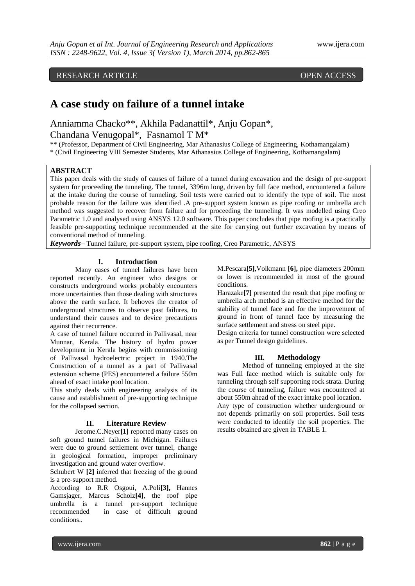# RESEARCH ARTICLE OPEN ACCESS

# **A case study on failure of a tunnel intake**

Anniamma Chacko\*\*, Akhila Padanattil\*, Anju Gopan\*, Chandana Venugopal\*, Fasnamol T M\*

\*\* (Professor, Department of Civil Engineering, Mar Athanasius College of Engineering, Kothamangalam) \* (Civil Engineering VIII Semester Students, Mar Athanasius College of Engineering, Kothamangalam)

## **ABSTRACT**

This paper deals with the study of causes of failure of a tunnel during excavation and the design of pre-support system for proceeding the tunneling. The tunnel, 3396m long, driven by full face method, encountered a failure at the intake during the course of tunneling. Soil tests were carried out to identify the type of soil. The most probable reason for the failure was identified .A pre-support system known as pipe roofing or umbrella arch method was suggested to recover from failure and for proceeding the tunneling. It was modelled using Creo Parametric 1.0 and analysed using ANSYS 12.0 software. This paper concludes that pipe roofing is a practically feasible pre-supporting technique recommended at the site for carrying out further excavation by means of conventional method of tunneling.

*Keywords***–** Tunnel failure, pre-support system, pipe roofing, Creo Parametric, ANSYS

#### **I. Introduction**

Many cases of tunnel failures have been reported recently. An engineer who designs or constructs underground works probably encounters more uncertainties than those dealing with structures above the earth surface. It behoves the creator of underground structures to observe past failures, to understand their causes and to device precautions against their recurrence.

A case of tunnel failure occurred in Pallivasal, near Munnar, Kerala. The history of hydro power development in Kerala begins with commissioning of Pallivasal hydroelectric project in 1940.The Construction of a tunnel as a part of Pallivasal extension scheme (PES) encountered a failure 550m ahead of exact intake pool location.

This study deals with engineering analysis of its cause and establishment of pre-supporting technique for the collapsed section.

#### **II. Literature Review**

Jerome.C.Neyer**[1]** reported many cases on soft ground tunnel failures in Michigan. Failures were due to ground settlement over tunnel, change in geological formation, improper preliminary investigation and ground water overflow.

Schubert W **[2]** inferred that freezing of the ground is a pre-support method.

According to R.R Osgoui, A.Poli**[3],** Hannes Gamsjager, Marcus Scholz**[4]**, the roof pipe umbrella is a tunnel pre-support technique recommended in case of difficult ground conditions..

M.Pescara**[5]**,Volkmann **[6],** pipe diameters 200mm or lower is recommended in most of the ground conditions.

Harazake**[7]** presented the result that pipe roofing or umbrella arch method is an effective method for the stability of tunnel face and for the improvement of ground in front of tunnel face by measuring the surface settlement and stress on steel pipe.

Design criteria for tunnel construction were selected as per Tunnel design guidelines.

#### **III. Methodology**

Method of tunneling employed at the site was Full face method which is suitable only for tunneling through self supporting rock strata. During the course of tunneling, failure was encountered at about 550m ahead of the exact intake pool location. Any type of construction whether underground or not depends primarily on soil properties. Soil tests were conducted to identify the soil properties. The results obtained are given in TABLE 1.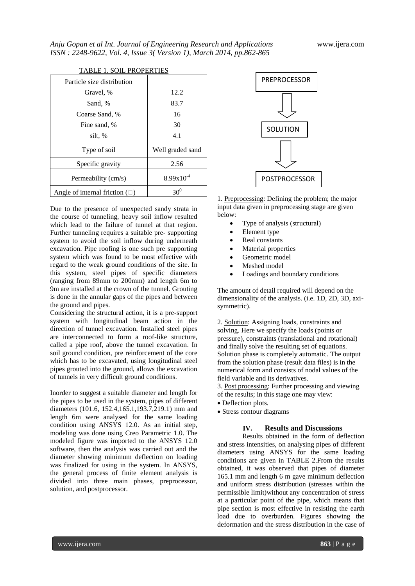| TADLE I. SOIL I ROI ERTILS             |                  |  |  |  |  |
|----------------------------------------|------------------|--|--|--|--|
| Particle size distribution             |                  |  |  |  |  |
| Gravel, %                              | 12.2             |  |  |  |  |
| Sand, %                                | 83.7             |  |  |  |  |
| Coarse Sand, %                         | 16               |  |  |  |  |
| Fine sand, %                           | 30               |  |  |  |  |
| silt, %                                | 4.1              |  |  |  |  |
| Type of soil                           | Well graded sand |  |  |  |  |
| Specific gravity                       | 2.56             |  |  |  |  |
| Permeability (cm/s)                    | $8.99x10^{-4}$   |  |  |  |  |
| Angle of internal friction $(\square)$ | 30 <sup>0</sup>  |  |  |  |  |
|                                        |                  |  |  |  |  |

#### TABLE 1. SOIL PROPERTIES

Due to the presence of unexpected sandy strata in the course of tunneling, heavy soil inflow resulted which lead to the failure of tunnel at that region. Further tunneling requires a suitable pre- supporting system to avoid the soil inflow during underneath excavation. Pipe roofing is one such pre supporting system which was found to be most effective with regard to the weak ground conditions of the site. In this system, steel pipes of specific diameters (ranging from 89mm to 200mm) and length 6m to 9m are installed at the crown of the tunnel. Grouting is done in the annular gaps of the pipes and between the ground and pipes.

Considering the structural action, it is a pre-support system with longitudinal beam action in the direction of tunnel excavation. Installed steel pipes are interconnected to form a roof-like structure, called a pipe roof, above the tunnel excavation. In soil ground condition, pre reinforcement of the core which has to be excavated, using longitudinal steel pipes grouted into the ground, allows the excavation of tunnels in very difficult ground conditions.

Inorder to suggest a suitable diameter and length for the pipes to be used in the system, pipes of different diameters (101.6, 152.4,165.1,193.7,219.1) mm and length 6m were analysed for the same loading condition using ANSYS 12.0. As an initial step, modeling was done using Creo Parametric 1.0. The modeled figure was imported to the ANSYS 12.0 software, then the analysis was carried out and the diameter showing minimum deflection on loading was finalized for using in the system. In ANSYS, the general process of finite element analysis is divided into three main phases, preprocessor, solution, and postprocessor.



1. Preprocessing: Defining the problem; the major input data given in preprocessing stage are given below:

- Type of analysis (structural)
- Element type
- Real constants
- Material properties
- Geometric model
- Meshed model
- Loadings and boundary conditions

The amount of detail required will depend on the dimensionality of the analysis. (i.e. 1D, 2D, 3D, axisymmetric).

2. Solution: Assigning loads, constraints and solving. Here we specify the loads (points or pressure), constraints (translational and rotational) and finally solve the resulting set of equations. Solution phase is completely automatic. The output from the solution phase (result data files) is in the numerical form and consists of nodal values of the field variable and its derivatives.

3. Post processing: Further processing and viewing of the results; in this stage one may view:

- Deflection plots.
- Stress contour diagrams

### **IV. Results and Discussions**

Results obtained in the form of deflection and stress intensities, on analysing pipes of different diameters using ANSYS for the same loading conditions are given in TABLE 2.From the results obtained, it was observed that pipes of diameter 165.1 mm and length 6 m gave minimum deflection and uniform stress distribution (stresses within the permissible limit)without any concentration of stress at a particular point of the pipe, which means that pipe section is most effective in resisting the earth load due to overburden. Figures showing the deformation and the stress distribution in the case of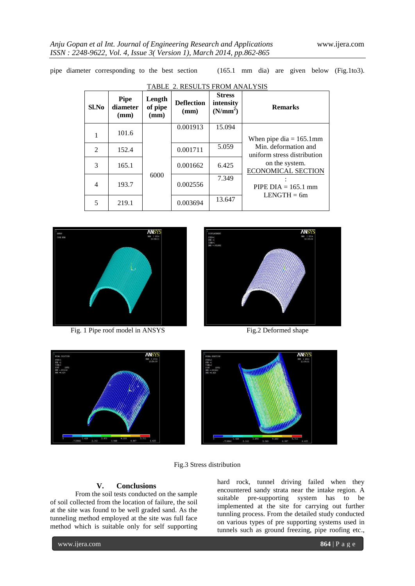pipe diameter corresponding to the best section (165.1 mm dia) are given below (Fig.1to3).

| Sl.No | <b>Pipe</b><br>diameter<br>(mm) | Length<br>of pipe<br>(mm) | <b>Deflection</b><br>(mm) | <b>Stress</b><br>intensity<br>(N/mm <sup>2</sup> ) | <b>Remarks</b>                                      |
|-------|---------------------------------|---------------------------|---------------------------|----------------------------------------------------|-----------------------------------------------------|
|       | 101.6                           |                           | 0.001913                  | 15.094                                             | When pipe dia $= 165.1$ mm                          |
| 2     | 152.4                           |                           | 0.001711                  | 5.059                                              | Min. deformation and<br>uniform stress distribution |
| 3     | 165.1                           |                           | 0.001662                  | 6.425                                              | on the system.<br><b>ECONOMICAL SECTION</b>         |
| 4     | 193.7                           | 6000                      | 0.002556                  | 7.349                                              | PIPE $DIA = 165.1$ mm<br>$LENGTH = 6m$              |
| 5     | 219.1                           |                           | 0.003694                  | 13.647                                             |                                                     |

TABLE 2. RESULTS FROM ANALYSIS



Fig. 1 Pipe roof model in ANSYS Fig.2 Deformed shape







Fig.3 Stress distribution

# **V. Conclusions**

From the soil tests conducted on the sample of soil collected from the location of failure, the soil at the site was found to be well graded sand. As the tunneling method employed at the site was full face method which is suitable only for self supporting hard rock, tunnel driving failed when they encountered sandy strata near the intake region. A suitable pre-supporting system has to be implemented at the site for carrying out further tunnling process. From the detailed study conducted on various types of pre supporting systems used in tunnels such as ground freezing, pipe roofing etc.,